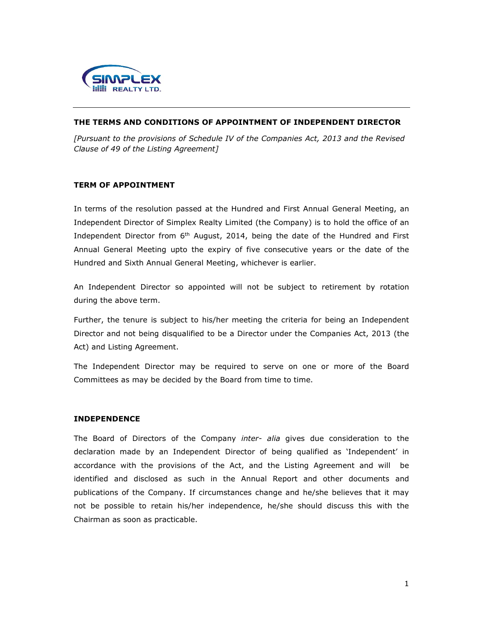

# THE TERMS AND CONDITIONS OF APPOINTMENT OF INDEPENDENT DIRECTOR

[Pursuant to the provisions of Schedule IV of the Companies Act, 2013 and the Revised Clause of 49 of the Listing Agreement]

# TERM OF APPOINTMENT

In terms of the resolution passed at the Hundred and First Annual General Meeting, an Independent Director of Simplex Realty Limited (the Company) is to hold the office of an Independent Director from  $6<sup>th</sup>$  August, 2014, being the date of the Hundred and First Annual General Meeting upto the expiry of five consecutive years or the date of the Hundred and Sixth Annual General Meeting, whichever is earlier.

An Independent Director so appointed will not be subject to retirement by rotation during the above term.

Further, the tenure is subject to his/her meeting the criteria for being an Independent Director and not being disqualified to be a Director under the Companies Act, 2013 (the Act) and Listing Agreement.

The Independent Director may be required to serve on one or more of the Board Committees as may be decided by the Board from time to time.

# INDEPENDENCE

The Board of Directors of the Company inter- alia gives due consideration to the declaration made by an Independent Director of being qualified as 'Independent' in accordance with the provisions of the Act, and the Listing Agreement and will be identified and disclosed as such in the Annual Report and other documents and publications of the Company. If circumstances change and he/she believes that it may not be possible to retain his/her independence, he/she should discuss this with the Chairman as soon as practicable.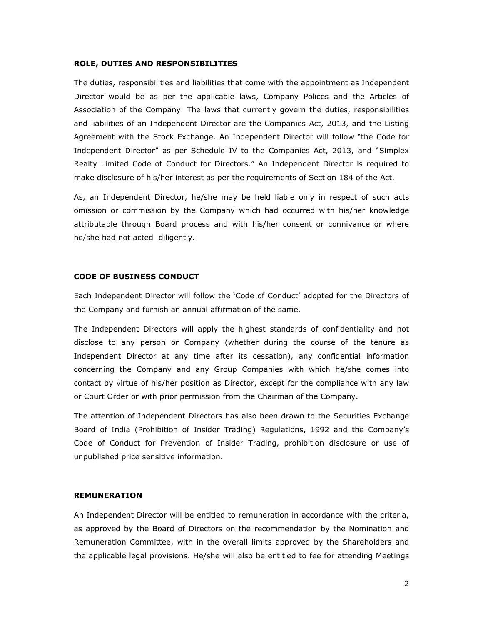#### ROLE, DUTIES AND RESPONSIBILITIES

The duties, responsibilities and liabilities that come with the appointment as Independent Director would be as per the applicable laws, Company Polices and the Articles of Association of the Company. The laws that currently govern the duties, responsibilities and liabilities of an Independent Director are the Companies Act, 2013, and the Listing Agreement with the Stock Exchange. An Independent Director will follow "the Code for Independent Director" as per Schedule IV to the Companies Act, 2013, and "Simplex Realty Limited Code of Conduct for Directors." An Independent Director is required to make disclosure of his/her interest as per the requirements of Section 184 of the Act.

As, an Independent Director, he/she may be held liable only in respect of such acts omission or commission by the Company which had occurred with his/her knowledge attributable through Board process and with his/her consent or connivance or where he/she had not acted diligently.

#### CODE OF BUSINESS CONDUCT

Each Independent Director will follow the 'Code of Conduct' adopted for the Directors of the Company and furnish an annual affirmation of the same.

The Independent Directors will apply the highest standards of confidentiality and not disclose to any person or Company (whether during the course of the tenure as Independent Director at any time after its cessation), any confidential information concerning the Company and any Group Companies with which he/she comes into contact by virtue of his/her position as Director, except for the compliance with any law or Court Order or with prior permission from the Chairman of the Company.

The attention of Independent Directors has also been drawn to the Securities Exchange Board of India (Prohibition of Insider Trading) Regulations, 1992 and the Company's Code of Conduct for Prevention of Insider Trading, prohibition disclosure or use of unpublished price sensitive information.

#### REMUNERATION

An Independent Director will be entitled to remuneration in accordance with the criteria, as approved by the Board of Directors on the recommendation by the Nomination and Remuneration Committee, with in the overall limits approved by the Shareholders and the applicable legal provisions. He/she will also be entitled to fee for attending Meetings